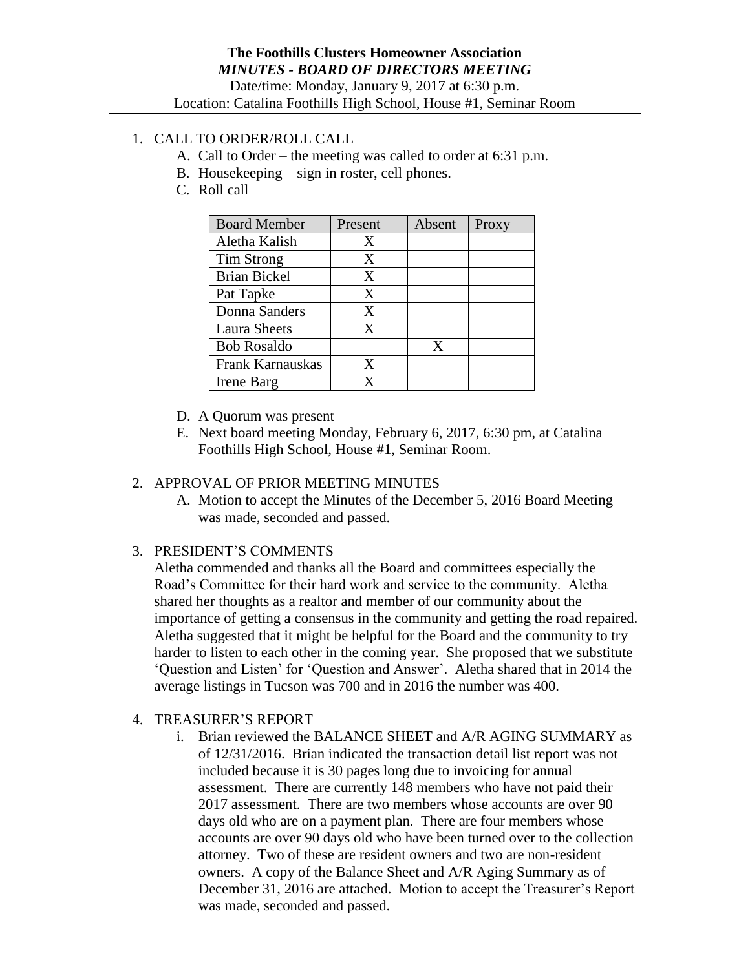# 1. CALL TO ORDER/ROLL CALL

- A. Call to Order the meeting was called to order at 6:31 p.m.
- B. Housekeeping sign in roster, cell phones.
- C. Roll call

| <b>Board Member</b> | Present | Absent | Proxy |
|---------------------|---------|--------|-------|
| Aletha Kalish       | X       |        |       |
| Tim Strong          | X       |        |       |
| <b>Brian Bickel</b> | X       |        |       |
| Pat Tapke           | X       |        |       |
| Donna Sanders       | X       |        |       |
| <b>Laura Sheets</b> | X       |        |       |
| <b>Bob Rosaldo</b>  |         | X      |       |
| Frank Karnauskas    | X       |        |       |
| Irene Barg          | x       |        |       |

- D. A Quorum was present
- E. Next board meeting Monday, February 6, 2017, 6:30 pm, at Catalina Foothills High School, House #1, Seminar Room.

### 2. APPROVAL OF PRIOR MEETING MINUTES

A. Motion to accept the Minutes of the December 5, 2016 Board Meeting was made, seconded and passed.

## 3. PRESIDENT'S COMMENTS

Aletha commended and thanks all the Board and committees especially the Road's Committee for their hard work and service to the community. Aletha shared her thoughts as a realtor and member of our community about the importance of getting a consensus in the community and getting the road repaired. Aletha suggested that it might be helpful for the Board and the community to try harder to listen to each other in the coming year. She proposed that we substitute 'Question and Listen' for 'Question and Answer'. Aletha shared that in 2014 the average listings in Tucson was 700 and in 2016 the number was 400.

- 4. TREASURER'S REPORT
	- i. Brian reviewed the BALANCE SHEET and A/R AGING SUMMARY as of 12/31/2016. Brian indicated the transaction detail list report was not included because it is 30 pages long due to invoicing for annual assessment. There are currently 148 members who have not paid their 2017 assessment. There are two members whose accounts are over 90 days old who are on a payment plan. There are four members whose accounts are over 90 days old who have been turned over to the collection attorney. Two of these are resident owners and two are non-resident owners. A copy of the Balance Sheet and A/R Aging Summary as of December 31, 2016 are attached. Motion to accept the Treasurer's Report was made, seconded and passed.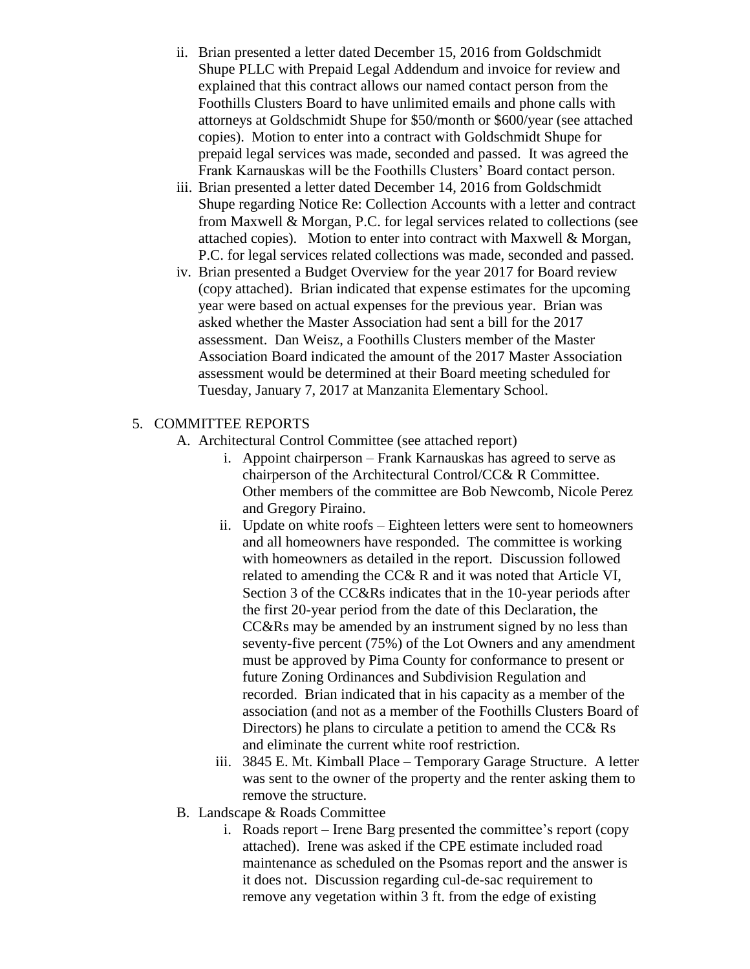- ii. Brian presented a letter dated December 15, 2016 from Goldschmidt Shupe PLLC with Prepaid Legal Addendum and invoice for review and explained that this contract allows our named contact person from the Foothills Clusters Board to have unlimited emails and phone calls with attorneys at Goldschmidt Shupe for \$50/month or \$600/year (see attached copies). Motion to enter into a contract with Goldschmidt Shupe for prepaid legal services was made, seconded and passed. It was agreed the Frank Karnauskas will be the Foothills Clusters' Board contact person.
- iii. Brian presented a letter dated December 14, 2016 from Goldschmidt Shupe regarding Notice Re: Collection Accounts with a letter and contract from Maxwell & Morgan, P.C. for legal services related to collections (see attached copies). Motion to enter into contract with Maxwell & Morgan, P.C. for legal services related collections was made, seconded and passed.
- iv. Brian presented a Budget Overview for the year 2017 for Board review (copy attached). Brian indicated that expense estimates for the upcoming year were based on actual expenses for the previous year. Brian was asked whether the Master Association had sent a bill for the 2017 assessment. Dan Weisz, a Foothills Clusters member of the Master Association Board indicated the amount of the 2017 Master Association assessment would be determined at their Board meeting scheduled for Tuesday, January 7, 2017 at Manzanita Elementary School.

## 5. COMMITTEE REPORTS

- A. Architectural Control Committee (see attached report)
	- i. Appoint chairperson Frank Karnauskas has agreed to serve as chairperson of the Architectural Control/CC& R Committee. Other members of the committee are Bob Newcomb, Nicole Perez and Gregory Piraino.
	- ii. Update on white roofs Eighteen letters were sent to homeowners and all homeowners have responded. The committee is working with homeowners as detailed in the report. Discussion followed related to amending the CC& R and it was noted that Article VI, Section 3 of the CC&Rs indicates that in the 10-year periods after the first 20-year period from the date of this Declaration, the CC&Rs may be amended by an instrument signed by no less than seventy-five percent (75%) of the Lot Owners and any amendment must be approved by Pima County for conformance to present or future Zoning Ordinances and Subdivision Regulation and recorded. Brian indicated that in his capacity as a member of the association (and not as a member of the Foothills Clusters Board of Directors) he plans to circulate a petition to amend the CC& Rs and eliminate the current white roof restriction.
	- iii. 3845 E. Mt. Kimball Place Temporary Garage Structure. A letter was sent to the owner of the property and the renter asking them to remove the structure.
- B. Landscape & Roads Committee
	- i. Roads report Irene Barg presented the committee's report (copy attached). Irene was asked if the CPE estimate included road maintenance as scheduled on the Psomas report and the answer is it does not. Discussion regarding cul-de-sac requirement to remove any vegetation within 3 ft. from the edge of existing